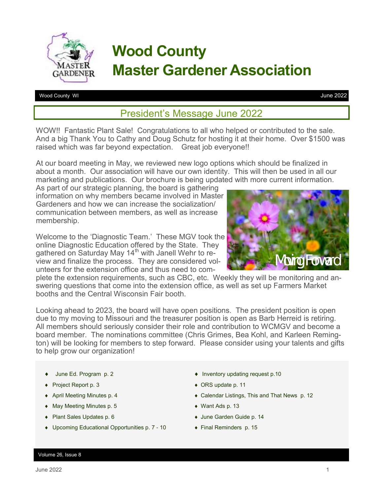

# **Wood County Master Gardener Association**

Wood County WI

June 2022

## President's Message June 2022

WOW!! Fantastic Plant Sale! Congratulations to all who helped or contributed to the sale. And a big Thank You to Cathy and Doug Schutz for hosting it at their home. Over \$1500 was raised which was far beyond expectation. Great job everyone!!

At our board meeting in May, we reviewed new logo options which should be finalized in about a month. Our association will have our own identity. This will then be used in all our marketing and publications. Our brochure is being updated with more current information.

As part of our strategic planning, the board is gathering information on why members became involved in Master Gardeners and how we can increase the socialization/ communication between members, as well as increase membership.

Welcome to the 'Diagnostic Team.' These MGV took the online Diagnostic Education offered by the State. They gathered on Saturday May 14<sup>th</sup> with Janell Wehr to review and finalize the process. They are considered volunteers for the extension office and thus need to com-



plete the extension requirements, such as CBC, etc. Weekly they will be monitoring and answering questions that come into the extension office, as well as set up Farmers Market booths and the Central Wisconsin Fair booth.

Looking ahead to 2023, the board will have open positions. The president position is open due to my moving to Missouri and the treasurer position is open as Barb Herreid is retiring. All members should seriously consider their role and contribution to WCMGV and become a board member. The nominations committee (Chris Grimes, Bea Kohl, and Karleen Remington) will be looking for members to step forward. Please consider using your talents and gifts to help grow our organization!

- ◆ June Ed. Program p. 2
- ◆ Project Report p. 3
- April Meeting Minutes p. 4
- May Meeting Minutes p. 5
- ◆ Plant Sales Updates p. 6
- Upcoming Educational Opportunities p. 7 10
- $\bullet$  Inventory updating request p.10
- ◆ ORS update p. 11
- Calendar Listings, This and That News p. 12
- Want Ads p. 13
- June Garden Guide p. 14
- Final Reminders p. 15

#### Volume 26, Issue 8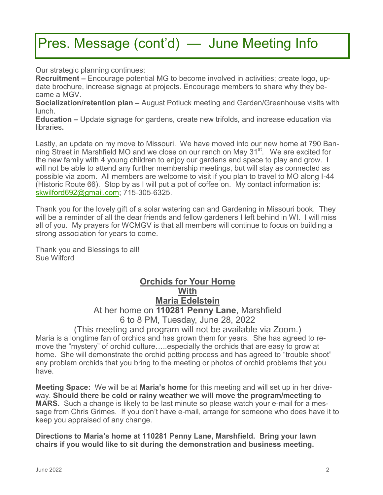# Pres. Message (cont'd) — June Meeting Info

Our strategic planning continues:

**Recruitment –** Encourage potential MG to become involved in activities; create logo, update brochure, increase signage at projects. Encourage members to share why they became a MGV.

**Socialization/retention plan –** August Potluck meeting and Garden/Greenhouse visits with lunch.

**Education –** Update signage for gardens, create new trifolds, and increase education via libraries**.** 

Lastly, an update on my move to Missouri. We have moved into our new home at 790 Banning Street in Marshfield MO and we close on our ranch on May 31<sup>st</sup>. We are excited for the new family with 4 young children to enjoy our gardens and space to play and grow. I will not be able to attend any further membership meetings, but will stay as connected as possible via zoom. All members are welcome to visit if you plan to travel to MO along I-44 (Historic Route 66). Stop by as I will put a pot of coffee on. My contact information is: [skwilford692@gmail.com;](mailto:skwilford692@gmail.com) 715-305-6325.

Thank you for the lovely gift of a solar watering can and Gardening in Missouri book. They will be a reminder of all the dear friends and fellow gardeners I left behind in WI. I will miss all of you. My prayers for WCMGV is that all members will continue to focus on building a strong association for years to come.

Thank you and Blessings to all! Sue Wilford

### **Orchids for Your Home With Maria Edelstein** At her home on **110281 Penny Lane**, Marshfield 6 to 8 PM, Tuesday, June 28, 2022

(This meeting and program will not be available via Zoom.) Maria is a longtime fan of orchids and has grown them for years. She has agreed to remove the "mystery" of orchid culture…..especially the orchids that are easy to grow at home. She will demonstrate the orchid potting process and has agreed to "trouble shoot" any problem orchids that you bring to the meeting or photos of orchid problems that you have.

**Meeting Space:** We will be at **Maria's home** for this meeting and will set up in her driveway. **Should there be cold or rainy weather we will move the program/meeting to MARS.** Such a change is likely to be last minute so please watch your e-mail for a message from Chris Grimes. If you don't have e-mail, arrange for someone who does have it to keep you appraised of any change.

**Directions to Maria's home at 110281 Penny Lane, Marshfield. Bring your lawn chairs if you would like to sit during the demonstration and business meeting.**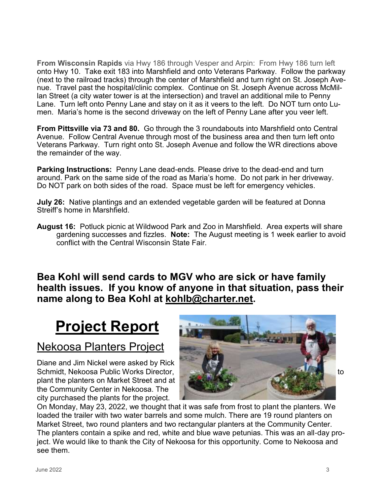**From Wisconsin Rapids** via Hwy 186 through Vesper and Arpin: From Hwy 186 turn left onto Hwy 10. Take exit 183 into Marshfield and onto Veterans Parkway. Follow the parkway (next to the railroad tracks) through the center of Marshfield and turn right on St. Joseph Avenue. Travel past the hospital/clinic complex. Continue on St. Joseph Avenue across McMillan Street (a city water tower is at the intersection) and travel an additional mile to Penny Lane. Turn left onto Penny Lane and stay on it as it veers to the left. Do NOT turn onto Lumen. Maria's home is the second driveway on the left of Penny Lane after you veer left.

**From Pittsville via 73 and 80.** Go through the 3 roundabouts into Marshfield onto Central Avenue. Follow Central Avenue through most of the business area and then turn left onto Veterans Parkway. Turn right onto St. Joseph Avenue and follow the WR directions above the remainder of the way.

**Parking Instructions:** Penny Lane dead-ends. Please drive to the dead-end and turn around. Park on the same side of the road as Maria's home. Do not park in her driveway. Do NOT park on both sides of the road. Space must be left for emergency vehicles.

**July 26:** Native plantings and an extended vegetable garden will be featured at Donna Streiff's home in Marshfield.

**August 16:** Potluck picnic at Wildwood Park and Zoo in Marshfield. Area experts will share gardening successes and fizzles. **Note:** The August meeting is 1 week earlier to avoid conflict with the Central Wisconsin State Fair.

**Bea Kohl will send cards to MGV who are sick or have family health issues. If you know of anyone in that situation, pass their name along to Bea Kohl at [kohlb@charter.net.](mailto:kohlb@charter.net)** 

# **Project Report**

## Nekoosa Planters Project

Diane and Jim Nickel were asked by Rick plant the planters on Market Street and at the Community Center in Nekoosa. The city purchased the plants for the project.



On Monday, May 23, 2022, we thought that it was safe from frost to plant the planters. We loaded the trailer with two water barrels and some mulch. There are 19 round planters on Market Street, two round planters and two rectangular planters at the Community Center. The planters contain a spike and red, white and blue wave petunias. This was an all-day project. We would like to thank the City of Nekoosa for this opportunity. Come to Nekoosa and see them.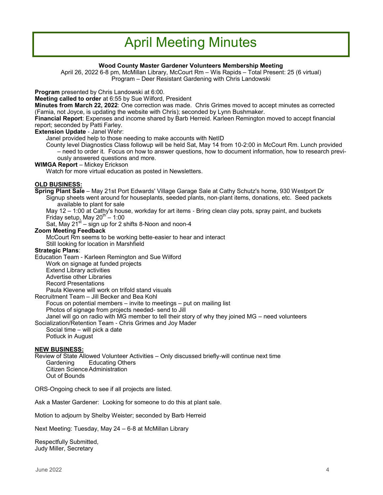## April Meeting Minutes

#### **Wood County Master Gardener Volunteers Membership Meeting**

April 26, 2022 6-8 pm, McMillan Library, McCourt Rm – Wis Rapids – Total Present: 25 (6 virtual) Program – Deer Resistant Gardening with Chris Landowski

**Program** presented by Chris Landowski at 6:00.

**Meeting called to order** at 6:55 by Sue Wilford, President

**Minutes from March 22, 2022**: One correction was made. Chris Grimes moved to accept minutes as corrected (Famia, not Joyce, is updating the website with Chris); seconded by Lynn Bushmaker.

**Financial Report**: Expenses and income shared by Barb Herreid. Karleen Remington moved to accept financial report; seconded by Patti Farley.

**Extension Update** - Janel Wehr:

Janel provided help to those needing to make accounts with NetID

County level Diagnostics Class followup will be held Sat, May 14 from 10-2:00 in McCourt Rm. Lunch provided – need to order it. Focus on how to answer questions, how to document information, how to research previously answered questions and more.

#### **WIMGA Report** – Mickey Erickson

Watch for more virtual education as posted in Newsletters.

#### **OLD BUSINESS:**

**Spring Plant Sale** – May 21st Port Edwards' Village Garage Sale at Cathy Schutz's home, 930 Westport Dr Signup sheets went around for houseplants, seeded plants, non-plant items, donations, etc. Seed packets available to plant for sale

May 12 – 1:00 at Cathy's house, workday for art items - Bring clean clay pots, spray paint, and buckets Friday setup, May 20 $th$  – 1:00

Sat, May 21 $\mathrm{s}^{\mathrm{st}}$  – sign up for 2 shifts 8-Noon and noon-4

#### **Zoom Meeting Feedback**

McCourt Rm seems to be working bette-easier to hear and interact

Still looking for location in Marshfield

#### **Strategic Plans**:

Education Team - Karleen Remington and Sue Wilford

Work on signage at funded projects

Extend Library activities

Advertise other Libraries

Record Presentations

Paula Klevene will work on trifold stand visuals

Recruitment Team – Jill Becker and Bea Kohl

Focus on potential members – invite to meetings – put on mailing list

- Photos of signage from projects needed- send to Jill
- Janel will go on radio with MG member to tell their story of why they joined MG need volunteers

Socialization/Retention Team - Chris Grimes and Joy Mader

Social time – will pick a date Potluck in August

#### **NEW BUSINESS:**

Review of State Allowed Volunteer Activities – Only discussed briefly-will continue next time Gardening Educating Others Citizen ScienceAdministration Out of Bounds

ORS-Ongoing check to see if all projects are listed.

Ask a Master Gardener: Looking for someone to do this at plant sale.

Motion to adjourn by Shelby Weister; seconded by Barb Herreid

Next Meeting: Tuesday, May 24 – 6-8 at McMillan Library

Respectfully Submitted, Judy Miller, Secretary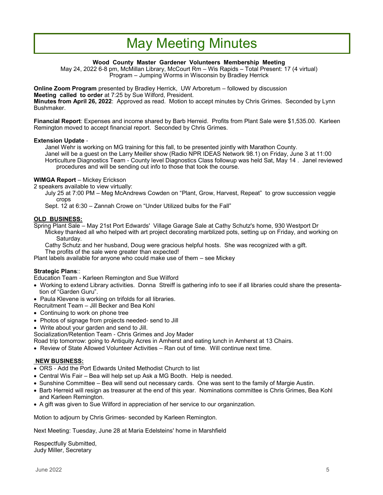## May Meeting Minutes

#### **Wood County Master Gardener Volunteers Membership Meeting**

May 24, 2022 6-8 pm, McMillan Library, McCourt Rm – Wis Rapids – Total Present: 17 (4 virtual) Program – Jumping Worms in Wisconsin by Bradley Herrick

**Online Zoom Program** presented by Bradley Herrick, UW Arboretum – followed by discussion **Meeting called to order** at 7:25 by Sue Wilford, President. **Minutes from April 26, 2022**: Approved as read. Motion to accept minutes by Chris Grimes. Seconded by Lynn Bushmaker.

**Financial Report**: Expenses and income shared by Barb Herreid. Profits from Plant Sale were \$1,535.00. Karleen Remington moved to accept financial report. Seconded by Chris Grimes.

#### **Extension Update** -

Janel Wehr is working on MG training for this fall, to be presented jointly with Marathon County. Janel will be a guest on the Larry Meiller show (Radio NPR IDEAS Network 98.1) on Friday, June 3 at 11:00 Horticulture Diagnostics Team - County level Diagnostics Class followup was held Sat, May 14 . Janel reviewed procedures and will be sending out info to those that took the course.

#### **WIMGA Report** – Mickey Erickson

2 speakers available to view virtually:

July 25 at 7:00 PM – Meg McAndrews Cowden on "Plant, Grow, Harvest, Repeat" to grow succession veggie crops

Sept. 12 at 6:30 – Zannah Crowe on "Under Utilized bulbs for the Fall"

#### **OLD BUSINESS:**

Spring Plant Sale – May 21st Port Edwards' Village Garage Sale at Cathy Schutz's home, 930 Westport Dr Mickey thanked all who helped with art project decorating marblized pots, setting up on Friday, and working on Saturday.

Cathy Schutz and her husband, Doug were gracious helpful hosts. She was recognized with a gift. The profits of the sale were greater than expected!

Plant labels available for anyone who could make use of them – see Mickey

#### **Strategic Plans**::

Education Team - Karleen Remington and Sue Wilford

- Working to extend Library activities. Donna Streiff is gathering info to see if all libraries could share the presentation of "Garden Guru".
- Paula Klevene is working on trifolds for all libraries.
- Recruitment Team Jill Becker and Bea Kohl
- Continuing to work on phone tree
- Photos of signage from projects needed- send to Jill
- Write about your garden and send to Jill.

Socialization/Retention Team - Chris Grimes and Joy Mader

Road trip tomorrow: going to Antiquity Acres in Amherst and eating lunch in Amherst at 13 Chairs.

• Review of State Allowed Volunteer Activities – Ran out of time. Will continue next time.

#### **NEW BUSINESS:**

- ORS Add the Port Edwards United Methodist Church to list
- Central Wis Fair Bea will help set up Ask a MG Booth. Help is needed.
- Sunshine Committee Bea will send out necessary cards. One was sent to the family of Margie Austin.
- Barb Herreid will resign as treasurer at the end of this year. Nominations committee is Chris Grimes, Bea Kohl and Karleen Remington.
- A gift was given to Sue Wilford in appreciation of her service to our organinzation.

Motion to adjourn by Chris Grimes- seconded by Karleen Remington.

Next Meeting: Tuesday, June 28 at Maria Edelsteins' home in Marshfield

Respectfully Submitted, Judy Miller, Secretary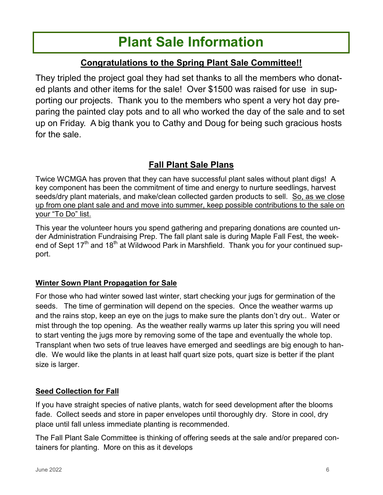# **Plant Sale Information**

## **Congratulations to the Spring Plant Sale Committee!!**

They tripled the project goal they had set thanks to all the members who donated plants and other items for the sale! Over \$1500 was raised for use in supporting our projects. Thank you to the members who spent a very hot day preparing the painted clay pots and to all who worked the day of the sale and to set up on Friday. A big thank you to Cathy and Doug for being such gracious hosts for the sale.

## **Fall Plant Sale Plans**

Twice WCMGA has proven that they can have successful plant sales without plant digs! A key component has been the commitment of time and energy to nurture seedlings, harvest seeds/dry plant materials, and make/clean collected garden products to sell. So, as we close up from one plant sale and and move into summer, keep possible contributions to the sale on your "To Do" list.

This year the volunteer hours you spend gathering and preparing donations are counted under Administration Fundraising Prep. The fall plant sale is during Maple Fall Fest, the weekend of Sept 17<sup>th</sup> and 18<sup>th</sup> at Wildwood Park in Marshfield. Thank you for your continued support.

## **Winter Sown Plant Propagation for Sale**

For those who had winter sowed last winter, start checking your jugs for germination of the seeds. The time of germination will depend on the species. Once the weather warms up and the rains stop, keep an eye on the jugs to make sure the plants don't dry out.. Water or mist through the top opening. As the weather really warms up later this spring you will need to start venting the jugs more by removing some of the tape and eventually the whole top. Transplant when two sets of true leaves have emerged and seedlings are big enough to handle. We would like the plants in at least half quart size pots, quart size is better if the plant size is larger.

## **Seed Collection for Fall**

If you have straight species of native plants, watch for seed development after the blooms fade. Collect seeds and store in paper envelopes until thoroughly dry. Store in cool, dry place until fall unless immediate planting is recommended.

The Fall Plant Sale Committee is thinking of offering seeds at the sale and/or prepared containers for planting. More on this as it develops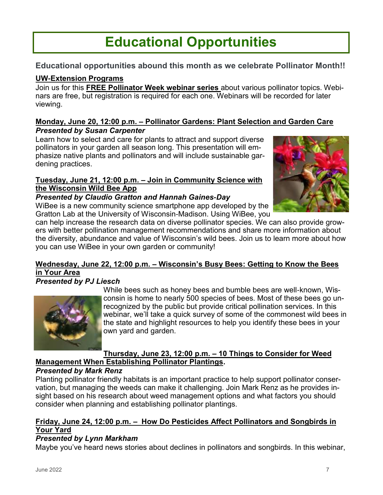# **Educational Opportunities**

### **Educational opportunities abound this month as we celebrate Pollinator Month!!**

## **UW-Extension Programs**

Join us for this **FREE Pollinator Week webinar series** about various pollinator topics. Webinars are free, but registration is required for each one. Webinars will be recorded for later viewing.

#### **Monday, June 20, 12:00 p.m. – Pollinator Gardens: Plant Selection and Garden Care** *Presented by Susan Carpenter*

Learn how to select and care for plants to attract and support diverse pollinators in your garden all season long. This presentation will emphasize native plants and pollinators and will include sustainable gardening practices.

#### **Tuesday, June 21, 12:00 p.m. – Join in Community Science with the Wisconsin Wild Bee App**

#### *Presented by Claudio Gratton and Hannah Gaines-Day*

WiBee is a new community science smartphone app developed by the Gratton Lab at the University of Wisconsin-Madison. Using WiBee, you



can help increase the research data on diverse pollinator species. We can also provide growers with better pollination management recommendations and share more information about the diversity, abundance and value of Wisconsin's wild bees. Join us to learn more about how you can use WiBee in your own garden or community!

### **Wednesday, June 22, 12:00 p.m. – Wisconsin's Busy Bees: Getting to Know the Bees in Your Area**

### *Presented by PJ Liesch*



While bees such as honey bees and bumble bees are well-known, Wisconsin is home to nearly 500 species of bees. Most of these bees go unrecognized by the public but provide critical pollination services. In this webinar, we'll take a quick survey of some of the commonest wild bees in the state and highlight resources to help you identify these bees in your own yard and garden.

#### **Thursday, June 23, 12:00 p.m. – 10 Things to Consider for Weed Management When Establishing Pollinator Plantings.**

#### *Presented by Mark Renz*

Planting pollinator friendly habitats is an important practice to help support pollinator conservation, but managing the weeds can make it challenging. Join Mark Renz as he provides insight based on his research about weed management options and what factors you should consider when planning and establishing pollinator plantings.

#### **Friday, June 24, 12:00 p.m. – How Do Pesticides Affect Pollinators and Songbirds in Your Yard**

#### *Presented by Lynn Markham*

Maybe you've heard news stories about declines in pollinators and songbirds. In this webinar,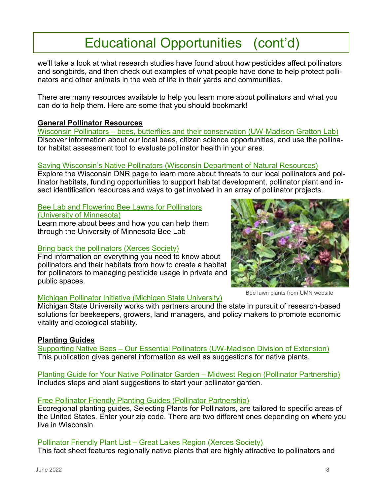# Educational Opportunities (cont'd)

we'll take a look at what research studies have found about how pesticides affect pollinators and songbirds, and then check out examples of what people have done to help protect pollinators and other animals in the web of life in their yards and communities.

There are many resources available to help you learn more about pollinators and what you can do to help them. Here are some that you should bookmark!

#### **General Pollinator Resources**

Wisconsin Pollinators – [bees, butterflies and their conservation \(UW-Madison Gratton Lab\)](https://pollinators.wisc.edu/) Discover information about our local bees, citizen science opportunities, and use the pollinator habitat assessment tool to evaluate pollinator health in your area.

#### [Saving Wisconsin's Native Pollinators \(Wisconsin Department of Natural Resources\)](https://dnr.wisconsin.gov/topic/endangeredresources/pollinators.html)

Explore the Wisconsin DNR page to learn more about threats to our local pollinators and pollinator habitats, funding opportunities to support habitat development, pollinator plant and insect identification resources and ways to get involved in an array of pollinator projects.

## [Bee Lab and Flowering Bee Lawns for Pollinators](https://beelab.umn.edu/)

[\(University of Minnesota\)](https://beelab.umn.edu/)

Learn more about bees and how you can help them through the University of Minnesota Bee Lab

#### [Bring back the pollinators \(Xerces Society\)](https://www.xerces.org/bring-back-the-pollinators)

Find information on everything you need to know about pollinators and their habitats from how to create a habitat for pollinators to managing pesticide usage in private and public spaces.

#### Bee lawn plants from UMN website

#### [Michigan Pollinator Initiative \(Michigan State University\)](https://pollinators.msu.edu/)

Michigan State University works with partners around the state in pursuit of research-based solutions for beekeepers, growers, land managers, and policy makers to promote economic vitality and ecological stability.

#### **Planting Guides**

Supporting Native Bees – [Our Essential Pollinators \(UW-Madison Division of Extension\)](https://cdn.shopify.com/s/files/1/0145/8808/4272/files/G4001.pdf) This publication gives general information as well as suggestions for native plants.

[Planting Guide for Your Native Pollinator Garden –](https://www.pollinator.org/pollinator.org/assets/generalFiles/pollinator-garden-cards_midwest-region.pdf) Midwest Region (Pollinator Partnership) Includes steps and plant suggestions to start your pollinator garden.

#### [Free Pollinator Friendly Planting Guides \(Pollinator Partnership\)](https://www.pollinator.org/guides)

Ecoregional planting guides, Selecting Plants for Pollinators, are tailored to specific areas of the United States. Enter your zip code. There are two different ones depending on where you live in Wisconsin.

#### Pollinator Friendly Plant List – [Great Lakes Region \(Xerces Society\)](https://xerces.org/publications/plant-lists/pollinator-plants-great-lakes-region)

This fact sheet features regionally native plants that are highly attractive to pollinators and

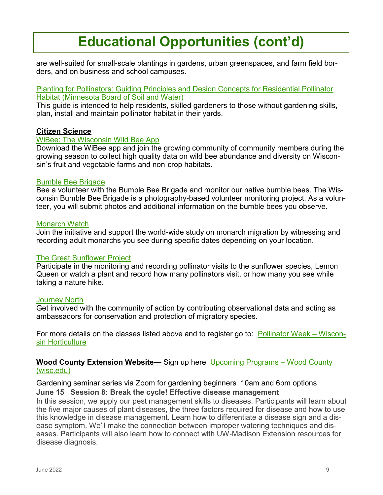# **Educational Opportunities (cont'd)**

are well-suited for small-scale plantings in gardens, urban greenspaces, and farm field borders, and on business and school campuses.

#### [Planting for Pollinators: Guiding Principles and Design Concepts for Residential Pollinator](https://bwsr.state.mn.us/sites/default/files/2020-03/Planting%20for%20Pollinators%20Design%20Guide%20with%20logos.pdf)  [Habitat \(Minnesota Board of Soil and Water\)](https://bwsr.state.mn.us/sites/default/files/2020-03/Planting%20for%20Pollinators%20Design%20Guide%20with%20logos.pdf)

This guide is intended to help residents, skilled gardeners to those without gardening skills, plan, install and maintain pollinator habitat in their yards.

#### **Citizen Science**

#### [WiBee: The Wisconsin Wild Bee App](https://pollinators.wisc.edu/wibee/)

Download the WiBee app and join the growing community of community members during the growing season to collect high quality data on wild bee abundance and diversity on Wisconsin's fruit and vegetable farms and non-crop habitats.

#### [Bumble Bee Brigade](https://wiatri.net/inventory/bbb/)

Bee a volunteer with the Bumble Bee Brigade and monitor our native bumble bees. The Wisconsin Bumble Bee Brigade is a photography-based volunteer monitoring project. As a volunteer, you will submit photos and additional information on the bumble bees you observe.

#### [Monarch Watch](https://monarchwatch.org/)

Join the initiative and support the world-wide study on monarch migration by witnessing and recording adult monarchs you see during specific dates depending on your location.

#### [The Great Sunflower Project](https://www.greatsunflower.org/)

Participate in the monitoring and recording pollinator visits to the sunflower species, Lemon Queen or watch a plant and record how many pollinators visit, or how many you see while taking a nature hike.

#### **[Journey North](https://journeynorth.org/)**

Get involved with the community of action by contributing observational data and acting as ambassadors for conservation and protection of migratory species.

For more details on the classes listed above and to register go to: [Pollinator Week –](https://hort.extension.wisc.edu/pollinator-week/) Wiscon[sin Horticulture](https://hort.extension.wisc.edu/pollinator-week/) 

#### **Wood County Extension Website—** Sign up here [Upcoming Programs –](https://wood.extension.wisc.edu/horticulture/upcoming-programs/) Wood County [\(wisc.edu\)](https://wood.extension.wisc.edu/horticulture/upcoming-programs/)

#### Gardening seminar series via Zoom for gardening beginners 10am and 6pm options **June 15 Session 8: Break the cycle! Effective disease management**

In this session, we apply our pest management skills to diseases. Participants will learn about the five major causes of plant diseases, the three factors required for disease and how to use this knowledge in disease management. Learn how to differentiate a disease sign and a disease symptom. We'll make the connection between improper watering techniques and diseases. Participants will also learn how to connect with UW-Madison Extension resources for disease diagnosis.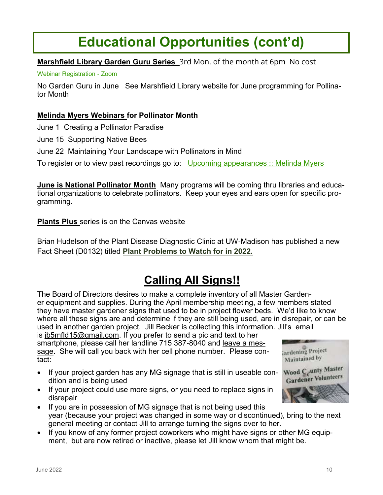# **Educational Opportunities (cont'd)**

### **Marshfield Library Garden Guru Series** 3rd Mon. of the month at 6pm No cost

[Webinar Registration -](https://us06web.zoom.us/webinar/register/WN_rZ20YLdEREuGPUYv16puxg) Zoom

No Garden Guru in June See Marshfield Library website for June programming for Pollinator Month

#### **Melinda Myers Webinars for Pollinator Month**

June 1 Creating a Pollinator Paradise

- June 15 Supporting Native Bees
- June 22 Maintaining Your Landscape with Pollinators in Mind

To register or to view past recordings go to: [Upcoming appearances :: Melinda Myers](https://www.melindamyers.com/about-melinda/upcoming-appearances)

**June is National Pollinator Month** Many programs will be coming thru libraries and educational organizations to celebrate pollinators. Keep your eyes and ears open for specific programming.

**Plants Plus** series is on the Canvas website

Brian Hudelson of the Plant Disease Diagnostic Clinic at UW-Madison has published a new Fact Sheet (D0132) titled **Plant Problems to Watch for in 2022.**

## **Calling All Signs!!**

The Board of Directors desires to make a complete inventory of all Master Gardener equipment and supplies. During the April membership meeting, a few members stated they have master gardener signs that used to be in project flower beds. We'd like to know where all these signs are and determine if they are still being used, are in disrepair, or can be used in another garden project. Jill Becker is collecting this information. Jill's email

is [jb5mfld15@gmail.com.](mailto:jb5mfld15@gmail.com) If you prefer to send a pic and text to her smartphone, please call her landline 715 387-8040 and leave a message. She will call you back with her cell phone number. Please contact:

- If your project garden has any MG signage that is still in useable condition and is being used
- If your project could use more signs, or you need to replace signs in disrepair
- If you are in possession of MG signage that is not being used this year (because your project was changed in some way or discontinued), bring to the next general meeting or contact Jill to arrange turning the signs over to her.
- If you know of any former project coworkers who might have signs or other MG equipment, but are now retired or inactive, please let Jill know whom that might be.

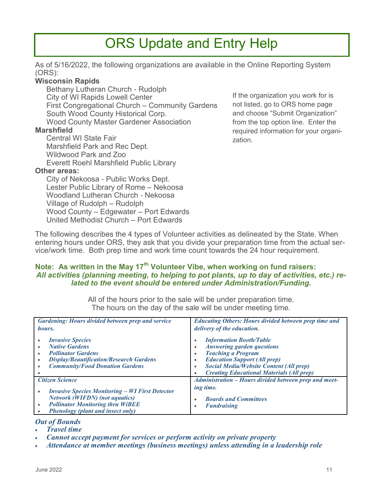## ORS Update and Entry Help

As of 5/16/2022, the following organizations are available in the Online Reporting System (ORS):

#### **Wisconsin Rapids**

Bethany Lutheran Church - Rudolph City of WI Rapids Lowell Center First Congregational Church – Community Gardens South Wood County Historical Corp. Wood County Master Gardener Association

#### **Marshfield**

Central WI State Fair Marshfield Park and Rec Dept. Wildwood Park and Zoo Everett Roehl Marshfield Public Library

#### **Other areas:**

City of Nekoosa - Public Works Dept. Lester Public Library of Rome – Nekoosa Woodland Lutheran Church - Nekoosa Village of Rudolph – Rudolph Wood County – Edgewater – Port Edwards United Methodist Church – Port Edwards

If the organization you work for is not listed, go to ORS home page and choose "Submit Organization" from the top option line. Enter the required information for your organization.

The following describes the 4 types of Volunteer activities as delineated by the State. When entering hours under ORS, they ask that you divide your preparation time from the actual service/work time. Both prep time and work time count towards the 24 hour requirement.

#### **Note: As written in the May 17th Volunteer Vibe, when working on fund raisers:**  *All activities (planning meeting, to helping to pot plants, up to day of activities, etc.) related to the event should be entered under Administration/Funding.*

All of the hours prior to the sale will be under preparation time. The hours on the day of the sale will be under meeting time.

| <b>Gardening: Hours divided between prep and service</b>                                                                                                                  | <b>Educating Others: Hours divided between prep time and</b>                                                                                                                                                                                                                                                        |
|---------------------------------------------------------------------------------------------------------------------------------------------------------------------------|---------------------------------------------------------------------------------------------------------------------------------------------------------------------------------------------------------------------------------------------------------------------------------------------------------------------|
| hours.                                                                                                                                                                    | delivery of the education.                                                                                                                                                                                                                                                                                          |
| <b>Invasive Species</b><br><b>Native Gardens</b><br><b>Pollinator Gardens</b><br><b>Display/Beautification/Research Gardens</b><br><b>Community/Food Donation Gardens</b> | <b>Information Booth/Table</b><br>$\bullet$<br><b>Answering garden questions</b><br>$\bullet$<br><b>Teaching a Program</b><br>$\bullet$<br><b>Education Support (All prep)</b><br>$\bullet$<br><b>Social Media/Website Content (All prep)</b><br>٠<br><b>Creating Educational Materials (All prep)</b><br>$\bullet$ |
| <b>Citizen Science</b>                                                                                                                                                    | Administration - Hours divided between prep and meet-                                                                                                                                                                                                                                                               |
| <b>Invasive Species Monitoring - WI First Detector</b>                                                                                                                    | ing time.                                                                                                                                                                                                                                                                                                           |
| <b>Network (WIFDN) (not aquatics)</b>                                                                                                                                     | <b>Boards and Committees</b>                                                                                                                                                                                                                                                                                        |
| <b>Pollinator Monitoring thru WiBEE</b>                                                                                                                                   | $\bullet$                                                                                                                                                                                                                                                                                                           |
| <b>Phenology (plant and insect only)</b>                                                                                                                                  | <b>Fundraising</b>                                                                                                                                                                                                                                                                                                  |

#### *Out of Bounds*

- *Travel time*
- *Cannot accept payment for services or perform activity on private property*
- *Attendance at member meetings (business meetings) unless attending in a leadership role*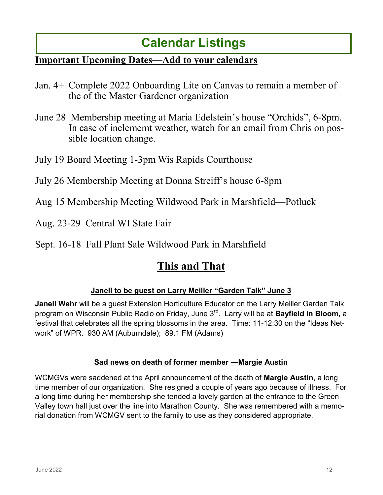## **Calendar Listings**

## **Important Upcoming Dates—Add to your calendars**

- Jan. 4+ Complete 2022 Onboarding Lite on Canvas to remain a member of the of the Master Gardener organization
- June 28 Membership meeting at Maria Edelstein's house "Orchids", 6-8pm. In case of inclememt weather, watch for an email from Chris on possible location change.
- July 19 Board Meeting 1-3pm Wis Rapids Courthouse
- July 26 Membership Meeting at Donna Streiff's house 6-8pm
- Aug 15 Membership Meeting Wildwood Park in Marshfield—Potluck
- Aug. 23-29 Central WI State Fair
- Sept. 16-18 Fall Plant Sale Wildwood Park in Marshfield

## **This and That**

## **Janell to be guest on Larry Meiller "Garden Talk" June 3**

**Janell Wehr** will be a guest Extension Horticulture Educator on the Larry Meiller Garden Talk program on Wisconsin Public Radio on Friday, June 3rd. Larry will be at **Bayfield in Bloom,** a festival that celebrates all the spring blossoms in the area. Time: 11-12:30 on the "Ideas Network" of WPR. 930 AM (Auburndale); 89.1 FM (Adams)

### **Sad news on death of former member —Margie Austin**

WCMGVs were saddened at the April announcement of the death of **Margie Austin**, a long time member of our organization. She resigned a couple of years ago because of illness. For a long time during her membership she tended a lovely garden at the entrance to the Green Valley town hall just over the line into Marathon County. She was remembered with a memorial donation from WCMGV sent to the family to use as they considered appropriate.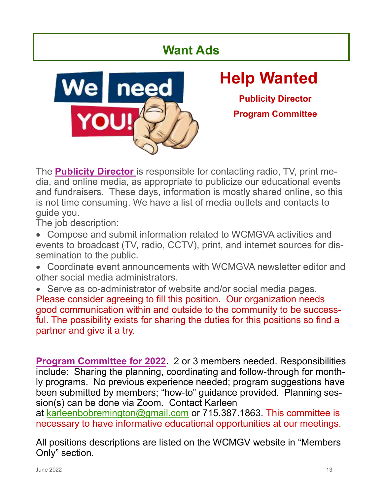## **Want Ads**



# **Help Wanted**

**Publicity Director Program Committee**

The **Publicity Director** is responsible for contacting radio, TV, print media, and online media, as appropriate to publicize our educational events and fundraisers. These days, information is mostly shared online, so this is not time consuming. We have a list of media outlets and contacts to guide you.

The job description:

- Compose and submit information related to WCMGVA activities and events to broadcast (TV, radio, CCTV), print, and internet sources for dissemination to the public.
- Coordinate event announcements with WCMGVA newsletter editor and other social media administrators.
- Serve as co-administrator of website and/or social media pages. Please consider agreeing to fill this position. Our organization needs good communication within and outside to the community to be successful. The possibility exists for sharing the duties for this positions so find a partner and give it a try.

**Program Committee for 2022**. 2 or 3 members needed. Responsibilities include: Sharing the planning, coordinating and follow-through for monthly programs. No previous experience needed; program suggestions have been submitted by members; "how-to" guidance provided. Planning session(s) can be done via Zoom. Contact Karleen

at [karleenbobremington@gmail.com](mailto:karleenbobremington@gmail.com) or 715.387.1863. This committee is necessary to have informative educational opportunities at our meetings.

All positions descriptions are listed on the WCMGV website in "Members Only" section.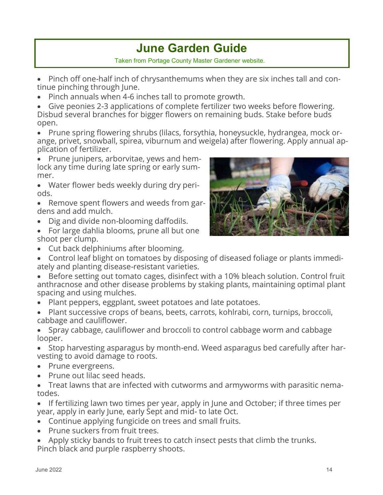## **June Garden Guide**

Taken from Portage County Master Gardener website.

- Pinch off one-half inch of chrysanthemums when they are six inches tall and continue pinching through June.
- Pinch annuals when 4-6 inches tall to promote growth.

• Give peonies 2-3 applications of complete fertilizer two weeks before flowering. Disbud several branches for bigger flowers on remaining buds. Stake before buds open.

• Prune spring flowering shrubs (lilacs, forsythia, honeysuckle, hydrangea, mock orange, privet, snowball, spirea, viburnum and weigela) after flowering. Apply annual application of fertilizer.

• Prune junipers, arborvitae, yews and hemlock any time during late spring or early summer.

• Water flower beds weekly during dry periods.

• Remove spent flowers and weeds from gardens and add mulch.

- Dig and divide non-blooming daffodils.
- For large dahlia blooms, prune all but one shoot per clump.
- Cut back delphiniums after blooming.
- Control leaf blight on tomatoes by disposing of diseased foliage or plants immediately and planting disease-resistant varieties.
- Before setting out tomato cages, disinfect with a 10% bleach solution. Control fruit anthracnose and other disease problems by staking plants, maintaining optimal plant spacing and using mulches.
- Plant peppers, eggplant, sweet potatoes and late potatoes.
- Plant successive crops of beans, beets, carrots, kohlrabi, corn, turnips, broccoli, cabbage and cauliflower.
- Spray cabbage, cauliflower and broccoli to control cabbage worm and cabbage looper.
- Stop harvesting asparagus by month-end. Weed asparagus bed carefully after harvesting to avoid damage to roots.
- Prune evergreens.
- Prune out lilac seed heads.
- Treat lawns that are infected with cutworms and armyworms with parasitic nematodes.

• If fertilizing lawn two times per year, apply in June and October; if three times per year, apply in early June, early Sept and mid- to late Oct.

- Continue applying fungicide on trees and small fruits.
- Prune suckers from fruit trees.
- Apply sticky bands to fruit trees to catch insect pests that climb the trunks. Pinch black and purple raspberry shoots.